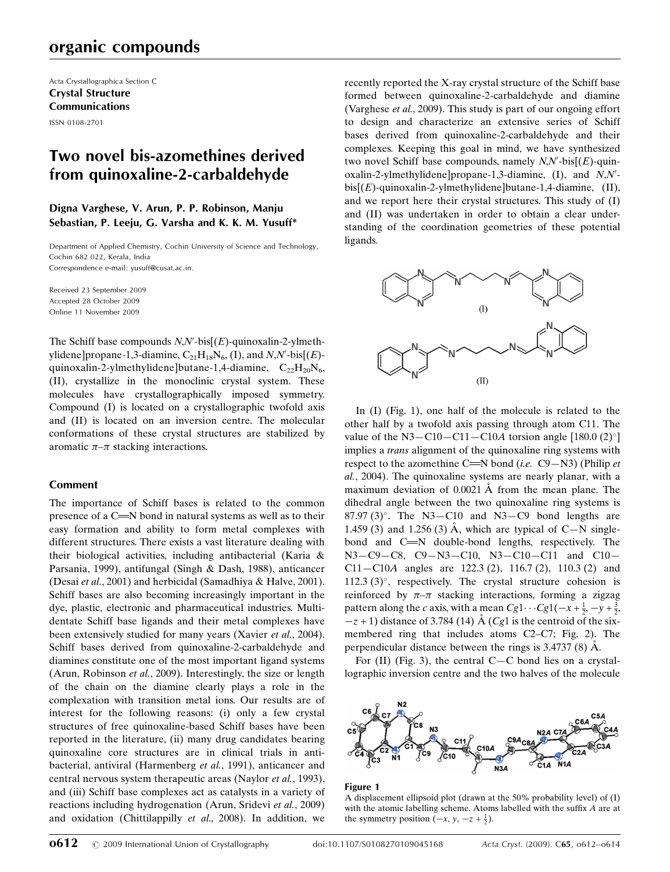# organic compounds

Acta Crystallographica Section C Crystal Structure Communications ISSN 0108-2701

# Two novel bis-azomethines derived from quinoxaline-2-carbaldehyde

## Digna Varghese, V. Arun, P. P. Robinson, Manju Sebastian, P. Leeju, G. Varsha and K. K. M. Yusuff\*

Department of Applied Chemistry, Cochin University of Science and Technology, Cochin 682 022, Kerala, India Correspondence e-mail: yusuff@cusat.ac.in.

Received 23 September 2009 Accepted 28 October 2009 Online 11 November 2009

The Schiff base compounds  $N, N'$ -bis $[(E)$ -quinoxalin-2-ylmethylidene]propane-1,3-diamine,  $C_{21}H_{18}N_6$ , (I), and  $N,N'$ -bis[ $(E)$ quinoxalin-2-ylmethylidene]butane-1,4-diamine,  $C_{22}H_{20}N_6$ , (II), crystallize in the monoclinic crystal system. These molecules have crystallographically imposed symmetry. Compound (I) is located on a crystallographic twofold axis and (II) is located on an inversion centre. The molecular conformations of these crystal structures are stabilized by aromatic  $\pi-\pi$  stacking interactions.

## Comment

The importance of Schiff bases is related to the common presence of a  $C = N$  bond in natural systems as well as to their easy formation and ability to form metal complexes with different structures. There exists a vast literature dealing with their biological activities, including antibacterial (Karia & Parsania, 1999), antifungal (Singh & Dash, 1988), anticancer (Desai et al., 2001) and herbicidal (Samadhiya & Halve, 2001). Schiff bases are also becoming increasingly important in the dye, plastic, electronic and pharmaceutical industries. Multidentate Schiff base ligands and their metal complexes have been extensively studied for many years (Xavier et al., 2004). Schiff bases derived from quinoxaline-2-carbaldehyde and diamines constitute one of the most important ligand systems (Arun, Robinson et al., 2009). Interestingly, the size or length of the chain on the diamine clearly plays a role in the complexation with transition metal ions. Our results are of interest for the following reasons: (i) only a few crystal structures of free quinoxaline-based Schiff bases have been reported in the literature, (ii) many drug candidates bearing quinoxaline core structures are in clinical trials in antibacterial, antiviral (Harmenberg et al., 1991), anticancer and central nervous system therapeutic areas (Naylor et al., 1993), and (iii) Schiff base complexes act as catalysts in a variety of reactions including hydrogenation (Arun, Sridevi et al., 2009) and oxidation (Chittilappilly et al., 2008). In addition, we

recently reported the X-ray crystal structure of the Schiff base formed between quinoxaline-2-carbaldehyde and diamine (Varghese et al., 2009). This study is part of our ongoing effort to design and characterize an extensive series of Schiff bases derived from quinoxaline-2-carbaldehyde and their complexes. Keeping this goal in mind, we have synthesized two novel Schiff base compounds, namely  $N, N'$ -bis $[(E)$ -quinoxalin-2-ylmethylidene]propane-1,3-diamine,  $(I)$ , and  $N$ , $N'$  $bis[(E)$ -quinoxalin-2-ylmethylidene]butane-1,4-diamine, (II), and we report here their crystal structures. This study of (I) and (II) was undertaken in order to obtain a clear understanding of the coordination geometries of these potential ligands.



In (I) (Fig. 1), one half of the molecule is related to the other half by a twofold axis passing through atom C11. The value of the N3-C10-C11-C10A torsion angle  $[180.0 (2)^{\circ}]$ implies a *trans* alignment of the quinoxaline ring systems with respect to the azomethine C=N bond (i.e.  $C9-N3$ ) (Philip et al., 2004). The quinoxaline systems are nearly planar, with a maximum deviation of  $0.0021$  Å from the mean plane. The dihedral angle between the two quinoxaline ring systems is  $87.97(3)$ °. The N3-C10 and N3-C9 bond lengths are 1.459 (3) and 1.256 (3)  $\AA$ , which are typical of C-N singlebond and  $C = N$  double-bond lengths, respectively. The N3—C9—C8, C9—N3—C10, N3—C10—C11 and C10— C11—C10A angles are 122.3 (2), 116.7 (2), 110.3 (2) and 112.3  $(3)^\circ$ , respectively. The crystal structure cohesion is reinforced by  $\pi-\pi$  stacking interactions, forming a zigzag pattern along the c axis, with a mean  $Cg1 \cdots Cg1(-x + \frac{1}{2}, -y + \frac{3}{2},$  $-z + 1$ ) distance of 3.784 (14)  $\dot{A}$  (Cg1 is the centroid of the sixmembered ring that includes atoms C2–C7; Fig. 2). The perpendicular distance between the rings is  $3.4737(8)$  Å.

For  $(II)$  (Fig. 3), the central C-C bond lies on a crystallographic inversion centre and the two halves of the molecule



#### Figure 1

A displacement ellipsoid plot (drawn at the 50% probability level) of (I) with the atomic labelling scheme. Atoms labelled with the suffix A are at the symmetry position  $(-x, y, -z + \frac{1}{2})$ .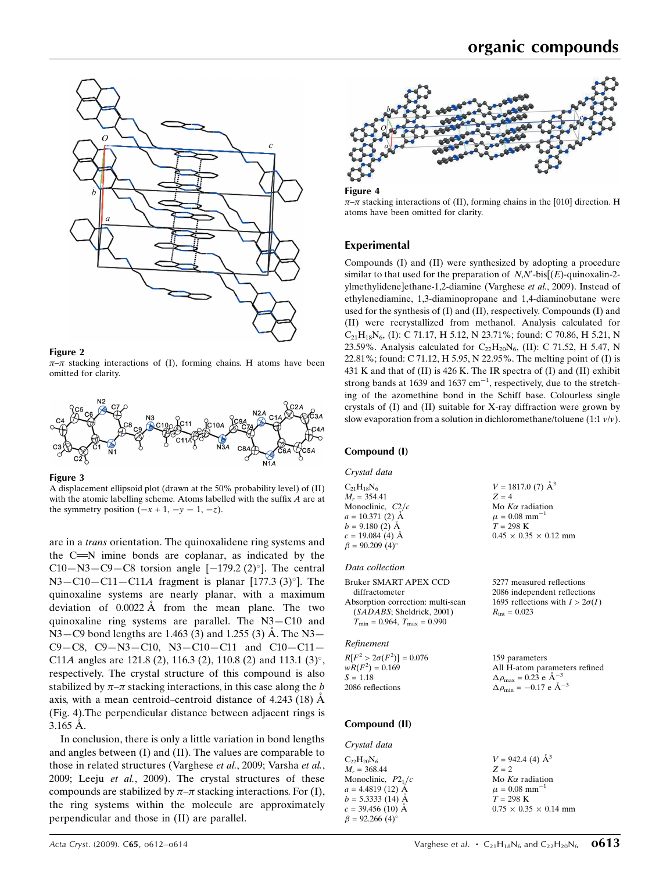

### Figure 2

 $\pi-\pi$  stacking interactions of (I), forming chains. H atoms have been omitted for clarity.



Figure 3

A displacement ellipsoid plot (drawn at the 50% probability level) of (II) with the atomic labelling scheme. Atoms labelled with the suffix A are at the symmetry position  $(-x + 1, -y - 1, -z)$ .

are in a trans orientation. The quinoxalidene ring systems and the  $C = N$  imine bonds are coplanar, as indicated by the C10-N3-C9-C8 torsion angle  $[-179.2 \ (2)^\circ]$ . The central  $N3 - C10 - C11 - C11A$  fragment is planar [177.3 (3)°]. The quinoxaline systems are nearly planar, with a maximum deviation of  $0.0022 \text{ Å}$  from the mean plane. The two quinoxaline ring systems are parallel. The N3—C10 and  $N3 - C9$  bond lengths are 1.463 (3) and 1.255 (3) Å. The N3 $-$ C9—C8, C9—N3—C10, N3—C10—C11 and C10—C11— C11A angles are 121.8 (2), 116.3 (2), 110.8 (2) and 113.1 (3)°, respectively. The crystal structure of this compound is also stabilized by  $\pi-\pi$  stacking interactions, in this case along the b axis, with a mean centroid–centroid distance of  $4.243$  (18) A (Fig. 4).The perpendicular distance between adjacent rings is  $3.165 \text{ Å}.$ 

In conclusion, there is only a little variation in bond lengths and angles between (I) and (II). The values are comparable to those in related structures (Varghese et al., 2009; Varsha et al., 2009; Leeju et al., 2009). The crystal structures of these compounds are stabilized by  $\pi-\pi$  stacking interactions. For (I), the ring systems within the molecule are approximately perpendicular and those in (II) are parallel.



Figure 4  $\pi$ - $\pi$  stacking interactions of (II), forming chains in the [010] direction. H atoms have been omitted for clarity.

## Experimental

Compounds (I) and (II) were synthesized by adopting a procedure similar to that used for the preparation of  $N, N'$ -bis $[(E)$ -quinoxalin-2ylmethylidene]ethane-1,2-diamine (Varghese et al., 2009). Instead of ethylenediamine, 1,3-diaminopropane and 1,4-diaminobutane were used for the synthesis of (I) and (II), respectively. Compounds (I) and (II) were recrystallized from methanol. Analysis calculated for  $C_{21}H_{18}N_6$ , (I): C 71.17, H 5.12, N 23.71%; found: C 70.86, H 5.21, N 23.59%. Analysis calculated for  $C_{22}H_{20}N_6$ , (II): C 71.52, H 5.47, N 22.81%; found: C 71.12, H 5.95, N 22.95%. The melting point of (I) is 431 K and that of (II) is 426 K. The IR spectra of (I) and (II) exhibit strong bands at 1639 and 1637  $cm^{-1}$ , respectively, due to the stretching of the azomethine bond in the Schiff base. Colourless single crystals of (I) and (II) suitable for X-ray diffraction were grown by slow evaporation from a solution in dichloromethane/toluene (1:1  $v/v$ ).

## Compound (I)

Crystal data

 $C_{21}H_{18}N_6$  $M_r = 354.41$ Monoclinic,  $C2/c$  $a = 10.371(2)$  Å  $b = 9.180(2)$  Å  $c = 19.084(4)$  Å  $\beta = 90.209$  (4)<sup>o</sup>

### Data collection

Bruker SMART APEX CCD diffractometer Absorption correction: multi-scan (SADABS; Sheldrick, 2001)  $T_{\text{min}} = 0.964, T_{\text{max}} = 0.990$ 

#### Refinement

 $R[F^2 > 2\sigma(F^2)] = 0.076$  $wR(F^2) = 0.169$  $S = 1.18$ 2086 reflections 159 parameters  $\Delta \rho_{\text{max}} = 0.23$  e  $\rm{\AA}^{-3}$  $\Delta \rho_{\text{min}} = -0.17 \text{ e } \text{\AA}^{-3}$ 

## Compound (II)

Crystal data  $C_{22}H_{20}N_{6}$  $M_r = 368.44$ Monoclinic,  $P2<sub>1</sub>/c$  $a = 4.4819(12)$  Å  $b = 5.3333(14)$  Å  $c = 39.456$  (10) Å  $\beta = 92.266$  (4)<sup>o</sup>

 $V = 1817.0$  (7)  $\AA^3$  $Z = 4$ Mo  $K\alpha$  radiation  $\mu = 0.08$  mm<sup>-1</sup>  $T=298~\mathrm{K}$  $0.45 \times 0.35 \times 0.12$  mm

5277 measured reflections 2086 independent reflections 1695 reflections with  $I > 2\sigma(I)$  $R_{\text{int}} = 0.023$ 

All H-atom parameters refined

 $V = 942.4$  (4)  $\AA^3$  $Z = 2$ Mo  $K\alpha$  radiation  $\mu = 0.08$  mm<sup>-1</sup>  $T = 298$  K  $0.75 \times 0.35 \times 0.14$  mm